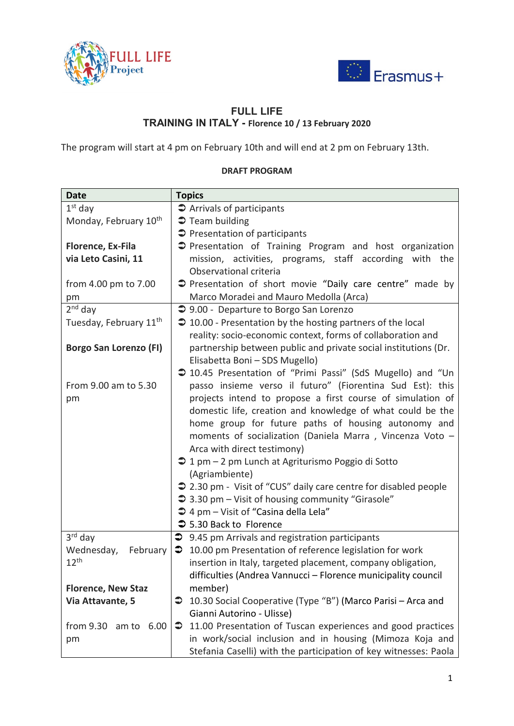



## **FULL LIFE TRAINING IN ITALY - Florence 10 / 13 February 2020**

The program will start at 4 pm on February 10th and will end at 2 pm on February 13th.

## **DRAFT PROGRAM**

| <b>Date</b>                        | <b>Topics</b>                                                       |
|------------------------------------|---------------------------------------------------------------------|
| $1st$ day                          | $\supset$ Arrivals of participants                                  |
| Monday, February 10 <sup>th</sup>  | $\supset$ Team building                                             |
|                                    | <b>●</b> Presentation of participants                               |
| Florence, Ex-Fila                  | Presentation of Training Program and host organization              |
| via Leto Casini, 11                | mission, activities, programs, staff according with the             |
|                                    | Observational criteria                                              |
| from 4.00 pm to 7.00               | → Presentation of short movie "Daily care centre" made by           |
| pm                                 | Marco Moradei and Mauro Medolla (Arca)                              |
| $2nd$ day                          | → 9.00 - Departure to Borgo San Lorenzo                             |
| Tuesday, February 11 <sup>th</sup> | $\supset$ 10.00 - Presentation by the hosting partners of the local |
|                                    | reality: socio-economic context, forms of collaboration and         |
| Borgo San Lorenzo (FI)             | partnership between public and private social institutions (Dr.     |
|                                    | Elisabetta Boni - SDS Mugello)                                      |
|                                    | → 10.45 Presentation of "Primi Passi" (SdS Mugello) and "Un         |
| From 9.00 am to 5.30               | passo insieme verso il futuro" (Fiorentina Sud Est): this           |
|                                    |                                                                     |
| pm                                 | projects intend to propose a first course of simulation of          |
|                                    | domestic life, creation and knowledge of what could be the          |
|                                    | home group for future paths of housing autonomy and                 |
|                                    | moments of socialization (Daniela Marra, Vincenza Voto -            |
|                                    | Arca with direct testimony)                                         |
|                                    | → 1 pm - 2 pm Lunch at Agriturismo Poggio di Sotto                  |
|                                    | (Agriambiente)                                                      |
|                                    | → 2.30 pm - Visit of "CUS" daily care centre for disabled people    |
|                                    | → 3.30 pm – Visit of housing community "Girasole"                   |
|                                    | → 4 pm - Visit of "Casina della Lela"                               |
|                                    | → 5.30 Back to Florence                                             |
| $3rd$ day                          | → 9.45 pm Arrivals and registration participants                    |
| Wednesday,<br>February             | 10.00 pm Presentation of reference legislation for work<br>€        |
| 12 <sup>th</sup>                   | insertion in Italy, targeted placement, company obligation,         |
|                                    | difficulties (Andrea Vannucci - Florence municipality council       |
| <b>Florence, New Staz</b>          | member)                                                             |
| Via Attavante, 5                   | 10.30 Social Cooperative (Type "B") (Marco Parisi - Arca and<br>∍   |
|                                    | Gianni Autorino - Ulisse)                                           |
| from 9.30 am to 6.00               | 11.00 Presentation of Tuscan experiences and good practices<br>⊃    |
| pm                                 | in work/social inclusion and in housing (Mimoza Koja and            |
|                                    | Stefania Caselli) with the participation of key witnesses: Paola    |